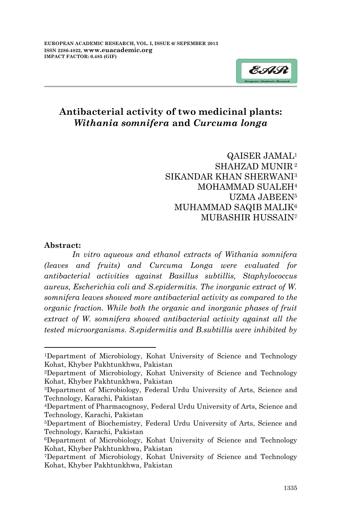

# **Antibacterial activity of two medicinal plants:** *Withania somnifera* **and** *Curcuma longa*

QAISER JAMAL<sup>1</sup> SHAHZAD MUNIR <sup>2</sup> SIKANDAR KHAN SHERWANI<sup>3</sup> MOHAMMAD SUALEH<sup>4</sup> UZMA JABEEN<sup>5</sup> MUHAMMAD SAQIB MALIK<sup>6</sup> MUBASHIR HUSSAIN<sup>7</sup>

#### **Abstract:**

-

*In vitro aqueous and ethanol extracts of Withania somnifera (leaves and fruits) and Curcuma Longa were evaluated for antibacterial activities against Basillus subtillis, Staphylococcus aureus, Escherichia coli and S.epidermitis. The inorganic extract of W. somnifera leaves showed more antibacterial activity as compared to the organic fraction. While both the organic and inorganic phases of fruit extract of W. somnifera showed antibacterial activity against all the tested microorganisms. S.epidermitis and B.subtillis were inhibited by* 

<sup>1</sup>Department of Microbiology, Kohat University of Science and Technology Kohat, Khyber Pakhtunkhwa, Pakistan

<sup>2</sup>Department of Microbiology, Kohat University of Science and Technology Kohat, Khyber Pakhtunkhwa, Pakistan

<sup>3</sup>Department of Microbiology, Federal Urdu University of Arts, Science and Technology, Karachi, Pakistan

<sup>4</sup>Department of Pharmacognosy, Federal Urdu University of Arts, Science and Technology, Karachi, Pakistan

<sup>5</sup>Department of Biochemistry, Federal Urdu University of Arts, Science and Technology, Karachi, Pakistan

<sup>6</sup>Department of Microbiology, Kohat University of Science and Technology Kohat, Khyber Pakhtunkhwa, Pakistan

<sup>7</sup>Department of Microbiology, Kohat University of Science and Technology Kohat, Khyber Pakhtunkhwa, Pakistan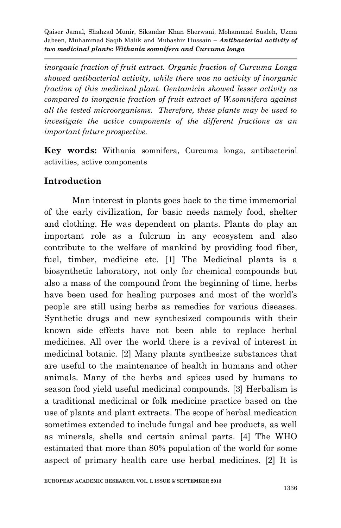*inorganic fraction of fruit extract. Organic fraction of Curcuma Longa showed antibacterial activity, while there was no activity of inorganic fraction of this medicinal plant. Gentamicin showed lesser activity as compared to inorganic fraction of fruit extract of W.somnifera against all the tested microorganisms. Therefore, these plants may be used to investigate the active components of the different fractions as an important future prospective.*

**Key words:** Withania somnifera, Curcuma longa, antibacterial activities, active components

## **Introduction**

Man interest in plants goes back to the time immemorial of the early civilization, for basic needs namely food, shelter and clothing. He was dependent on plants. Plants do play an important role as a fulcrum in any ecosystem and also contribute to the welfare of mankind by providing food fiber, fuel, timber, medicine etc. [1] The Medicinal plants is a biosynthetic laboratory, not only for chemical compounds but also a mass of the compound from the beginning of time, herbs have been used for healing purposes and most of the world's people are still using herbs as remedies for various diseases. Synthetic drugs and new synthesized compounds with their known side effects have not been able to replace herbal medicines. All over the world there is a revival of interest in medicinal botanic. [2] Many plants synthesize substances that are useful to the maintenance of health in humans and other animals. Many of the herbs and spices used by humans to season food yield useful medicinal compounds. [3] Herbalism is a traditional medicinal or folk medicine practice based on the use of plants and plant extracts. The scope of herbal medication sometimes extended to include fungal and bee products, as well as minerals, shells and certain animal parts. [4] The WHO estimated that more than 80% population of the world for some aspect of primary health care use herbal medicines. [2] It is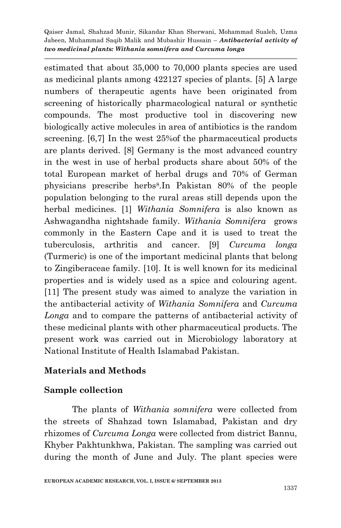estimated that about 35,000 to 70,000 plants species are used as medicinal plants among 422127 species of plants. [5] A large numbers of therapeutic agents have been originated from screening of historically pharmacological natural or synthetic compounds. The most productive tool in discovering new biologically active molecules in area of antibiotics is the random screening. [6,7] In the west 25%of the pharmaceutical products are plants derived. [8] Germany is the most advanced country in the west in use of herbal products share about 50% of the total European market of herbal drugs and 70% of German physicians prescribe herbs<sup>8</sup> .In Pakistan 80% of the people population belonging to the rural areas still depends upon the herbal medicines. [1] *Withania Somnifera* is also known as Ashwagandha nightshade family. *Withania Somnifera* grows commonly in the Eastern Cape and it is used to treat the tuberculosis, arthritis and cancer. [9] *Curcuma longa* (Turmeric) is one of the important medicinal plants that belong to Zingiberaceae family. [10]. It is well known for its medicinal properties and is widely used as a spice and colouring agent. [11] The present study was aimed to analyze the variation in the antibacterial activity of *Withania Somnifera* and *Curcuma Longa* and to compare the patterns of antibacterial activity of these medicinal plants with other pharmaceutical products. The present work was carried out in Microbiology laboratory at National Institute of Health Islamabad Pakistan.

# **Materials and Methods**

#### **Sample collection**

The plants of *Withania somnifera* were collected from the streets of Shahzad town Islamabad, Pakistan and dry rhizomes of *Curcuma Longa* were collected from district Bannu, Khyber Pakhtunkhwa, Pakistan. The sampling was carried out during the month of June and July. The plant species were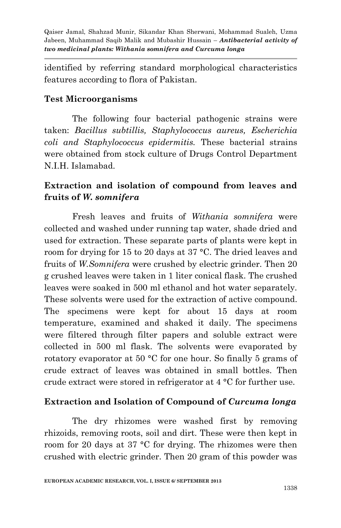identified by referring standard morphological characteristics features according to flora of Pakistan.

#### **Test Microorganisms**

The following four bacterial pathogenic strains were taken: *Bacillus subtillis, Staphylococcus aureus, Escherichia coli and Staphylococcus epidermitis.* These bacterial strains were obtained from stock culture of Drugs Control Department N.I.H. Islamabad.

# **Extraction and isolation of compound from leaves and fruits of** *W. somnifera*

Fresh leaves and fruits of *Withania somnifera* were collected and washed under running tap water, shade dried and used for extraction. These separate parts of plants were kept in room for drying for 15 to 20 days at 37 °C. The dried leaves and fruits of *W.Somnifera* were crushed by electric grinder. Then 20 g crushed leaves were taken in 1 liter conical flask. The crushed leaves were soaked in 500 ml ethanol and hot water separately. These solvents were used for the extraction of active compound. The specimens were kept for about 15 days at room temperature, examined and shaked it daily. The specimens were filtered through filter papers and soluble extract were collected in 500 ml flask. The solvents were evaporated by rotatory evaporator at 50 °C for one hour. So finally 5 grams of crude extract of leaves was obtained in small bottles. Then crude extract were stored in refrigerator at 4 °C for further use.

# **Extraction and Isolation of Compound of** *Curcuma longa*

The dry rhizomes were washed first by removing rhizoids, removing roots, soil and dirt. These were then kept in room for 20 days at 37 °C for drying. The rhizomes were then crushed with electric grinder. Then 20 gram of this powder was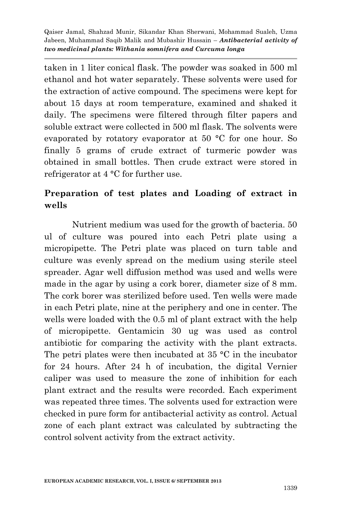taken in 1 liter conical flask. The powder was soaked in 500 ml ethanol and hot water separately. These solvents were used for the extraction of active compound. The specimens were kept for about 15 days at room temperature, examined and shaked it daily. The specimens were filtered through filter papers and soluble extract were collected in 500 ml flask. The solvents were evaporated by rotatory evaporator at 50 °C for one hour. So finally 5 grams of crude extract of turmeric powder was obtained in small bottles. Then crude extract were stored in refrigerator at 4 °C for further use.

# **Preparation of test plates and Loading of extract in wells**

Nutrient medium was used for the growth of bacteria. 50 ul of culture was poured into each Petri plate using a micropipette. The Petri plate was placed on turn table and culture was evenly spread on the medium using sterile steel spreader. Agar well diffusion method was used and wells were made in the agar by using a cork borer, diameter size of 8 mm. The cork borer was sterilized before used. Ten wells were made in each Petri plate, nine at the periphery and one in center. The wells were loaded with the 0.5 ml of plant extract with the help of micropipette. Gentamicin 30 ug was used as control antibiotic for comparing the activity with the plant extracts. The petri plates were then incubated at  $35 \text{ °C}$  in the incubator for 24 hours. After 24 h of incubation, the digital Vernier caliper was used to measure the zone of inhibition for each plant extract and the results were recorded. Each experiment was repeated three times. The solvents used for extraction were checked in pure form for antibacterial activity as control. Actual zone of each plant extract was calculated by subtracting the control solvent activity from the extract activity.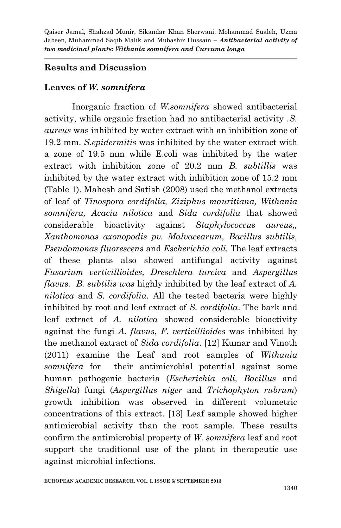## **Results and Discussion**

## **Leaves of** *W. somnifera*

Inorganic fraction of *W.somnifera* showed antibacterial activity, while organic fraction had no antibacterial activity .*S. aureus* was inhibited by water extract with an inhibition zone of 19.2 mm. *S.epidermitis* was inhibited by the water extract with a zone of 19.5 mm while E.coli was inhibited by the water extract with inhibition zone of 20.2 mm *B. subtillis* was inhibited by the water extract with inhibition zone of 15.2 mm (Table 1). Mahesh and Satish (2008) used the methanol extracts of leaf of *Tinospora cordifolia, Ziziphus mauritiana, Withania somnifera, Acacia nilotica* and *Sida cordifolia* that showed considerable bioactivity against *Staphylococcus aureus,, Xanthomonas axonopodis pv. Malvacearum, Bacillus subtilis, Pseudomonas fluorescens* and *Escherichia coli.* The leaf extracts of these plants also showed antifungal activity against *Fusarium verticillioides, Dreschlera turcica* and *Aspergillus flavus. B. subtilis was* highly inhibited by the leaf extract of *A. nilotica* and *S. cordifolia.* All the tested bacteria were highly inhibited by root and leaf extract of *S. cordifolia*. The bark and leaf extract of *A. nilotica* showed considerable bioactivity against the fungi *A. flavus*, *F. verticillioides* was inhibited by the methanol extract of *Sida cordifolia*. [12] Kumar and Vinoth (2011) examine the Leaf and root samples of *Withania somnifera* for their antimicrobial potential against some human pathogenic bacteria (*Escherichia coli, Bacillus* and *Shigella*) fungi (*Aspergillus niger* and *Trichophyton rubrum*) growth inhibition was observed in different volumetric concentrations of this extract. [13] Leaf sample showed higher antimicrobial activity than the root sample. These results confirm the antimicrobial property of *W. somnifera* leaf and root support the traditional use of the plant in therapeutic use against microbial infections.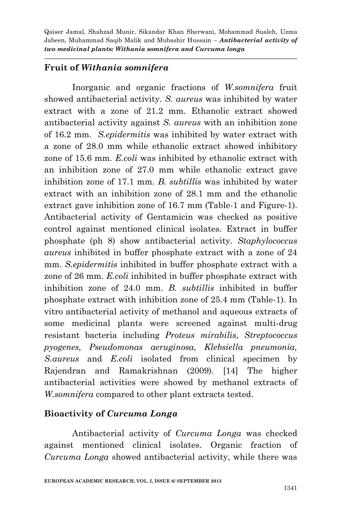### **Fruit of** *Withania somnifera*

Inorganic and organic fractions of *W.somnifera* fruit showed antibacterial activity. *S. aureus* was inhibited by water extract with a zone of 21.2 mm. Ethanolic extract showed antibacterial activity against *S. aureus* with an inhibition zone of 16.2 mm. *S.epidermitis* was inhibited by water extract with a zone of 28.0 mm while ethanolic extract showed inhibitory zone of 15.6 mm. *E.coli* was inhibited by ethanolic extract with an inhibition zone of 27.0 mm while ethanolic extract gave inhibition zone of 17.1 mm. *B. subtillis* was inhibited by water extract with an inhibition zone of 28.1 mm and the ethanolic extract gave inhibition zone of 16.7 mm (Table-1 and Figure-1). Antibacterial activity of Gentamicin was checked as positive control against mentioned clinical isolates. Extract in buffer phosphate (ph 8) show antibacterial activity. *Staphylococcus aureus* inhibited in buffer phosphate extract with a zone of 24 mm. *S.epidermitis* inhibited in buffer phosphate extract with a zone of 26 mm. *E.coli* inhibited in buffer phosphate extract with inhibition zone of 24.0 mm. *B. subtillis* inhibited in buffer phosphate extract with inhibition zone of 25.4 mm (Table-1). In vitro antibacterial activity of methanol and aqueous extracts of some medicinal plants were screened against multi-drug resistant bacteria including *Proteus mirabilis, Streptococcus pyogenes, Pseudomonas aeruginosa, Klebsiella pneumonia, S.aureus* and *E.coli* isolated from clinical specimen by Rajendran and Ramakrishnan (2009). [14] The higher antibacterial activities were showed by methanol extracts of *W.somnifera* compared to other plant extracts tested.

#### **Bioactivity of** *Curcuma Longa*

Antibacterial activity of *Curcuma Longa* was checked against mentioned clinical isolates. Organic fraction of *Curcuma Longa* showed antibacterial activity, while there was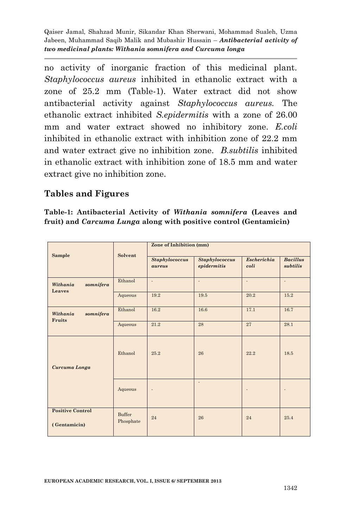no activity of inorganic fraction of this medicinal plant. *Staphylococcus aureus* inhibited in ethanolic extract with a zone of 25.2 mm (Table-1). Water extract did not show antibacterial activity against *Staphylococcus aureus.* The ethanolic extract inhibited *S.epidermitis* with a zone of 26.00 mm and water extract showed no inhibitory zone. *E.coli* inhibited in ethanolic extract with inhibition zone of 22.2 mm and water extract give no inhibition zone. *B.subtilis* inhibited in ethanolic extract with inhibition zone of 18.5 mm and water extract give no inhibition zone.

## **Tables and Figures**

**Table-1: Antibacterial Activity of** *Withania somnifera* **(Leaves and fruit) and** *Carcuma Lunga* **along with positive control (Gentamicin)**

| Sample                                  | Solvent             | Zone of Inhibition (mm)         |                                      |                            |                             |
|-----------------------------------------|---------------------|---------------------------------|--------------------------------------|----------------------------|-----------------------------|
|                                         |                     | <b>Staphylococcus</b><br>aureus | <b>Staphylococcus</b><br>epidermitis | <b>Escherichia</b><br>coli | <b>Bacillus</b><br>subtilis |
| Withania<br>somnifera<br>Leaves         | Ethanol             | ÷.                              | ä,                                   | ÷.                         | ÷.                          |
|                                         | Aqueous             | 19.2                            | 19.5                                 | 20.2                       | 15.2                        |
| Withania<br>somnifera<br>Fruits         | Ethanol             | 16.2                            | 16.6                                 | 17.1                       | 16.7                        |
|                                         | Aqueous             | 21.2                            | 28                                   | 27                         | 28.1                        |
| Curcuma Longa                           | Ethanol             | 25.2                            | 26                                   | 22.2                       | 18.5                        |
|                                         | Aqueous             |                                 | ÷.                                   |                            |                             |
| <b>Positive Control</b><br>(Gentamicin) | Buffer<br>Phosphate | 24                              | 26                                   | 24                         | 25.4                        |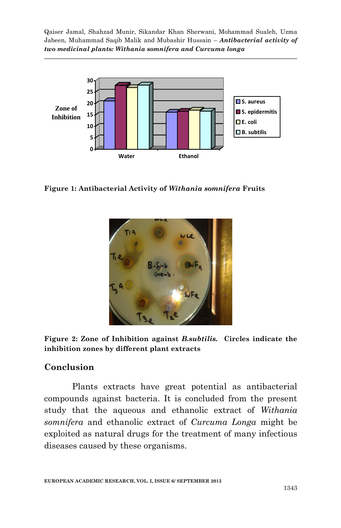

**Figure 1: Antibacterial Activity of** *Withania somnifera* **Fruits**



**Figure 2: Zone of Inhibition against** *B.subtilis.* **Circles indicate the inhibition zones by different plant extracts** 

#### **Conclusion**

Plants extracts have great potential as antibacterial compounds against bacteria. It is concluded from the present study that the aqueous and ethanolic extract of *Withania somnifera* and ethanolic extract of *Curcuma Longa* might be exploited as natural drugs for the treatment of many infectious diseases caused by these organisms.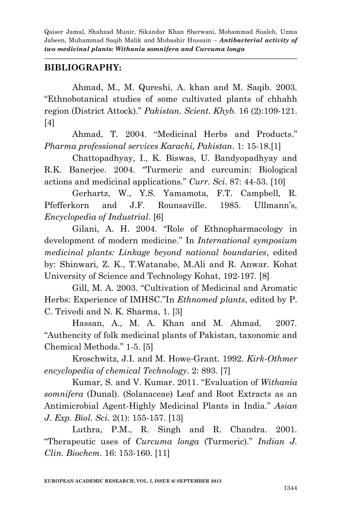### **BIBLIOGRAPHY:**

Ahmad, M., M. Qureshi, A. khan and M. Saqib. 2003. "Ethnobotanical studies of some cultivated plants of chhahh region (District Attock)." *Pakistan. Scient. Khyb.* 16 (2):109-121. [4]

Ahmad, T. 2004. "Medicinal Herbs and Products." *Pharma professional services Karachi, Pakistan*. 1: 15-18.[1]

Chattopadhyay, I., K. Biswas, U. Bandyopadhyay and R.K. Banerjee. 2004. "Turmeric and curcumin: Biological actions and medicinal applications." *Curr. Sci*. 87: 44-53. [10]

Gerhartz, W., Y.S. Yamamota, F.T. Campbell, R. Pfefferkorn and J.F. Rounsaville. 1985. Ullmann's, *Encyclopedia of Industrial*. [6]

Gilani, A. H. 2004. "Role of Ethnopharmacology in development of modern medicine." In *International symposium medicinal plants: Linkage beyond national boundaries*, edited by: Shinwari, Z. K., T.Watanabe, M.Ali and R. Anwar. Kohat University of Science and Technology Kohat, 192-197. [8]

Gill, M. A. 2003. "Cultivation of Medicinal and Aromatic Herbs: Experience of IMHSC."In *Ethnomed plants*, edited by P. C. Trivedi and N. K. Sharma, 1. [3]

Hassan, A., M. A. Khan and M. Ahmad. 2007. "Authencity of folk medicinal plants of Pakistan, taxonomic and Chemical Methods." 1-5. [5]

Kroschwitz, J.I. and M. Howe-Grant. 1992. *Kirk-Othmer encyclopedia of chemical Technology*. 2: 893. [7]

Kumar, S. and V. Kumar. 2011. "Evaluation of *Withania somnifera* (Dunal). (Solanaceae) Leaf and Root Extracts as an Antimicrobial Agent-Highly Medicinal Plants in India." *Asian J. Exp. Biol. Sci.* 2(1): 155-157. [13]

Luthra, P.M., R. Singh and R. Chandra. 2001. "Therapeutic uses of *Curcuma longa* (Turmeric)." *Indian J. Clin. Biochem*. 16: 153-160. [11]